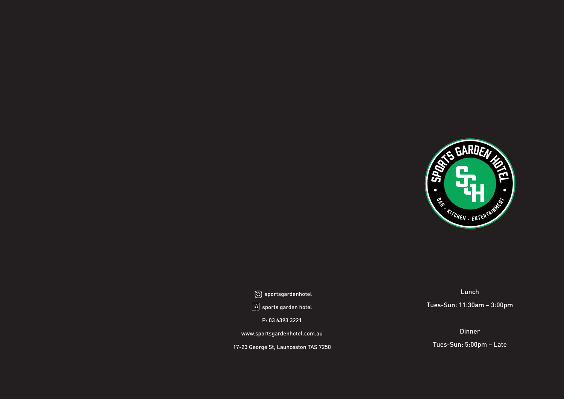sportsgardenhotel  $\boxed{\frac{1}{2}}$  sports garden hotel

P: 03 6393 3221

www.sportsgardenhotel.com.au

17-23 George St, Launceston TAS 7250



## Lunch

Tues-Sun: 11:30am – 3:00pm

## Dinner

Tues-Sun: 5:00pm – Late